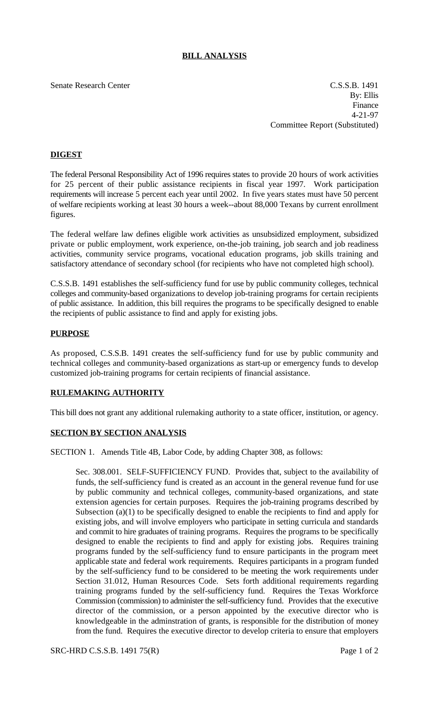# **BILL ANALYSIS**

Senate Research Center C.S.S.B. 1491 By: Ellis Finance 4-21-97 Committee Report (Substituted)

# **DIGEST**

The federal Personal Responsibility Act of 1996 requires states to provide 20 hours of work activities for 25 percent of their public assistance recipients in fiscal year 1997. Work participation requirements will increase 5 percent each year until 2002. In five years states must have 50 percent of welfare recipients working at least 30 hours a week--about 88,000 Texans by current enrollment figures.

The federal welfare law defines eligible work activities as unsubsidized employment, subsidized private or public employment, work experience, on-the-job training, job search and job readiness activities, community service programs, vocational education programs, job skills training and satisfactory attendance of secondary school (for recipients who have not completed high school).

C.S.S.B. 1491 establishes the self-sufficiency fund for use by public community colleges, technical colleges and community-based organizations to develop job-training programs for certain recipients of public assistance. In addition, this bill requires the programs to be specifically designed to enable the recipients of public assistance to find and apply for existing jobs.

#### **PURPOSE**

As proposed, C.S.S.B. 1491 creates the self-sufficiency fund for use by public community and technical colleges and community-based organizations as start-up or emergency funds to develop customized job-training programs for certain recipients of financial assistance.

### **RULEMAKING AUTHORITY**

This bill does not grant any additional rulemaking authority to a state officer, institution, or agency.

### **SECTION BY SECTION ANALYSIS**

SECTION 1. Amends Title 4B, Labor Code, by adding Chapter 308, as follows:

Sec. 308.001. SELF-SUFFICIENCY FUND. Provides that, subject to the availability of funds, the self-sufficiency fund is created as an account in the general revenue fund for use by public community and technical colleges, community-based organizations, and state extension agencies for certain purposes. Requires the job-training programs described by Subsection (a)(1) to be specifically designed to enable the recipients to find and apply for existing jobs, and will involve employers who participate in setting curricula and standards and commit to hire graduates of training programs. Requires the programs to be specifically designed to enable the recipients to find and apply for existing jobs. Requires training programs funded by the self-sufficiency fund to ensure participants in the program meet applicable state and federal work requirements. Requires participants in a program funded by the self-sufficiency fund to be considered to be meeting the work requirements under Section 31.012, Human Resources Code. Sets forth additional requirements regarding training programs funded by the self-sufficiency fund. Requires the Texas Workforce Commission (commission) to administer the self-sufficiency fund. Provides that the executive director of the commission, or a person appointed by the executive director who is knowledgeable in the adminstration of grants, is responsible for the distribution of money from the fund. Requires the executive director to develop criteria to ensure that employers